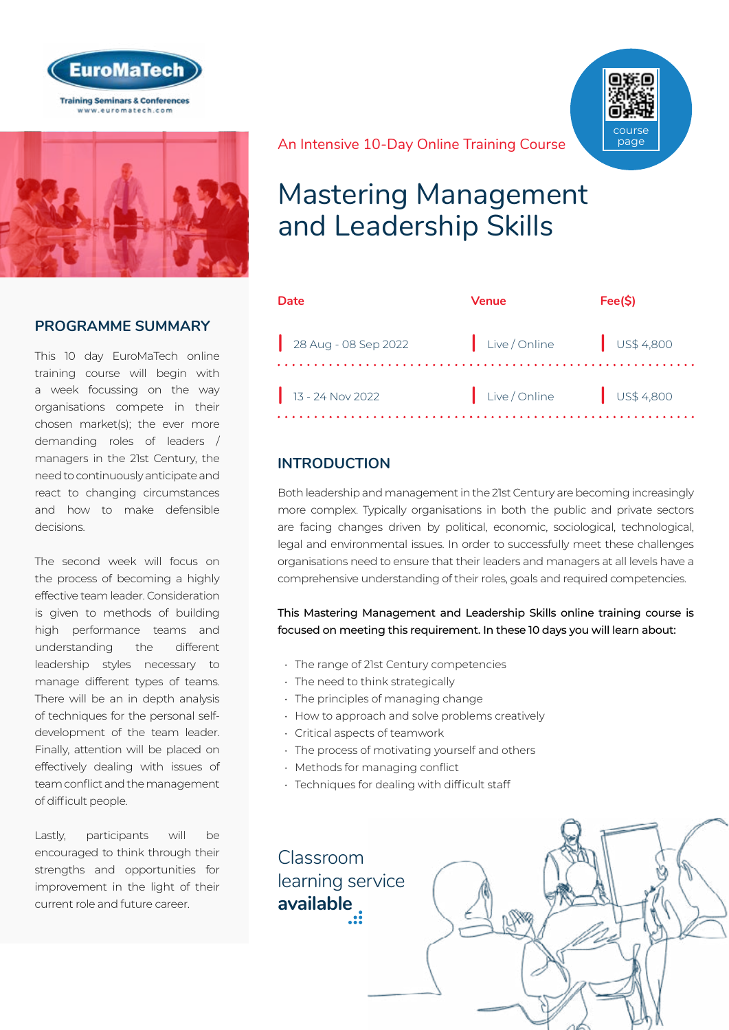



### **PROGRAMME SUMMARY**

This 10 day EuroMaTech online training course will begin with a week focussing on the way organisations compete in their chosen market(s); the ever more demanding roles of leaders / managers in the 21st Century, the need to continuously anticipate and react to changing circumstances and how to make defensible decisions.

The second week will focus on the process of becoming a highly effective team leader. Consideration is given to methods of building high performance teams and understanding the different leadership styles necessary to manage different types of teams. There will be an in depth analysis of techniques for the personal selfdevelopment of the team leader. Finally, attention will be placed on effectively dealing with issues of team conflict and the management of difficult people.

Lastly, participants will be encouraged to think through their strengths and opportunities for improvement in the light of their current role and future career.

An Intensive 10-Day Online Training Course



| Date                 | Venue         | Fee(S)                   |
|----------------------|---------------|--------------------------|
| 28 Aug - 08 Sep 2022 | Live / Online | $\frac{1}{1}$ US\$ 4,800 |
| 13 - 24 Nov 2022     | Live / Online | $\frac{1}{1}$ US\$ 4,800 |

## **INTRODUCTION**

Both leadership and management in the 21st Century are becoming increasingly more complex. Typically organisations in both the public and private sectors are facing changes driven by political, economic, sociological, technological, legal and environmental issues. In order to successfully meet these challenges organisations need to ensure that their leaders and managers at all levels have a comprehensive understanding of their roles, goals and required competencies.

This Mastering Management and Leadership Skills online training course is focused on meeting this requirement. In these 10 days you will learn about:

- The range of 21st Century competencies
- The need to think strategically
- The principles of managing change
- How to approach and solve problems creatively
- Critical aspects of teamwork
- The process of motivating yourself and others
- Methods for managing conflict
- Techniques for dealing with difficult staff

Classroom [learning service](https://www.euromatech.com/seminars/mastering-management-and-leadership-skills/)  **available**



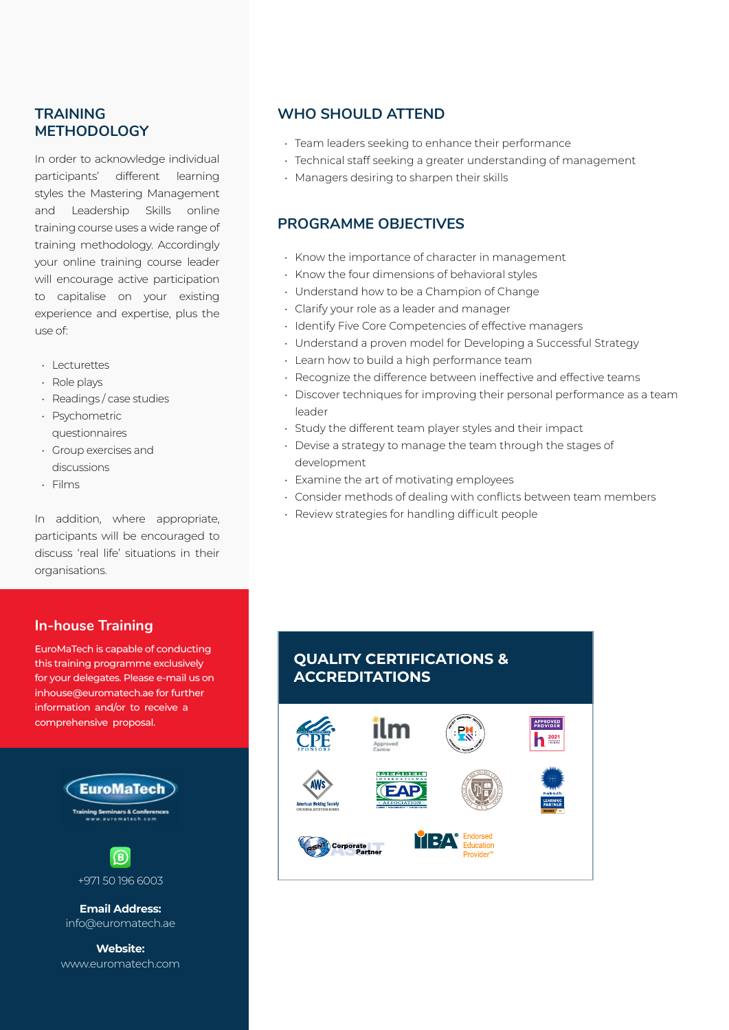### **TRAINING METHODOLOGY**

In order to acknowledge individual participants' different learning styles the Mastering Management and Leadership Skills online training course uses a wide range of training methodology. Accordingly your online training course leader will encourage active participation to capitalise on your existing experience and expertise, plus the use of:

- Lecturettes
- Role plays
- Readings / case studies
- Psychometric questionnaires
- Group exercises and discussions
- Films

In addition, where appropriate, participants will be encouraged to discuss 'real life' situations in their organisations.

## **WHO SHOULD ATTEND**

- Team leaders seeking to enhance their performance
- Technical staff seeking a greater understanding of management
- Managers desiring to sharpen their skills

### **PROGRAMME OBJECTIVES**

- Know the importance of character in management
- Know the four dimensions of behavioral styles
- Understand how to be a Champion of Change
- Clarify your role as a leader and manager
- Identify Five Core Competencies of effective managers
- Understand a proven model for Developing a Successful Strategy
- Learn how to build a high performance team
- Recognize the difference between ineffective and effective teams
- Discover techniques for improving their personal performance as a team leader
- Study the different team player styles and their impact
- Devise a strategy to manage the team through the stages of development
- Examine the art of motivating employees
- Consider methods of dealing with conflicts between team members
- Review strategies for handling difficult people

## **In-house Training**

EuroMaTech is capable of conducting this training programme exclusively for your delegates. Please e-mail us on inhouse@euromatech.ae for further information and/or to receive a comprehensive proposal.



www.euromatech.com

## **QUALITY CERTIFICATIONS & ACCREDITATIONS**

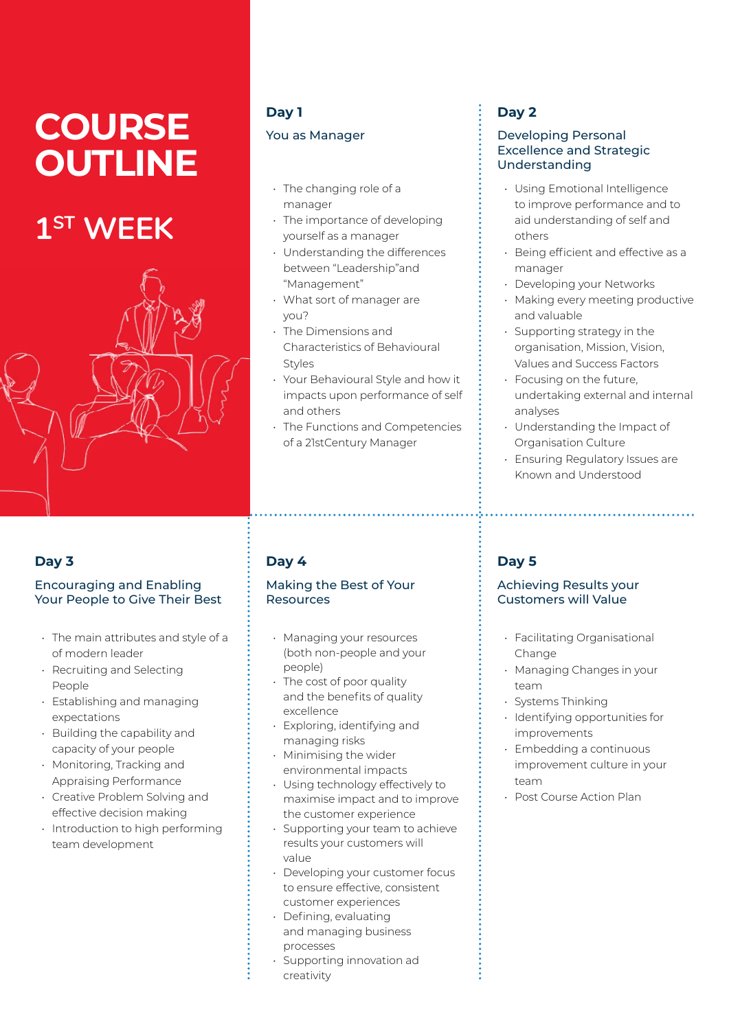# **COURSE OUTLINE**

# **1ST WEEK**



## **Day 3**

#### Encouraging and Enabling Your People to Give Their Best

- The main attributes and style of a of modern leader
- Recruiting and Selecting People
- Establishing and managing expectations
- Building the capability and capacity of your people
- Monitoring, Tracking and Appraising Performance
- Creative Problem Solving and effective decision making
- Introduction to high performing team development

# **Day 1** You as Manager

- The changing role of a manager
- The importance of developing yourself as a manager
- Understanding the differences between "Leadership"and "Management"
- What sort of manager are you?
- The Dimensions and Characteristics of Behavioural Styles
- Your Behavioural Style and how it impacts upon performance of self and others
- The Functions and Competencies of a 21stCentury Manager

# **Day 4**

#### Making the Best of Your Resources

- Managing your resources (both non-people and your people)
- The cost of poor quality and the benefits of quality excellence
- Exploring, identifying and managing risks • Minimising the wider
- environmental impacts
- Using technology effectively to maximise impact and to improve the customer experience
- Supporting your team to achieve results your customers will value
- Developing your customer focus to ensure effective, consistent customer experiences
- Defining, evaluating and managing business processes
- Supporting innovation ad creativity

# **Day 2**

#### Developing Personal Excellence and Strategic Understanding

- Using Emotional Intelligence to improve performance and to aid understanding of self and others
- Being efficient and effective as a manager
- Developing your Networks
- Making every meeting productive and valuable
- Supporting strategy in the organisation, Mission, Vision, Values and Success Factors
- Focusing on the future, undertaking external and internal analyses
- Understanding the Impact of Organisation Culture
- Ensuring Regulatory Issues are Known and Understood

# **Day 5**

#### Achieving Results your Customers will Value

- Facilitating Organisational Change
- Managing Changes in your team
- Systems Thinking
- Identifying opportunities for improvements
- Embedding a continuous improvement culture in your team
- Post Course Action Plan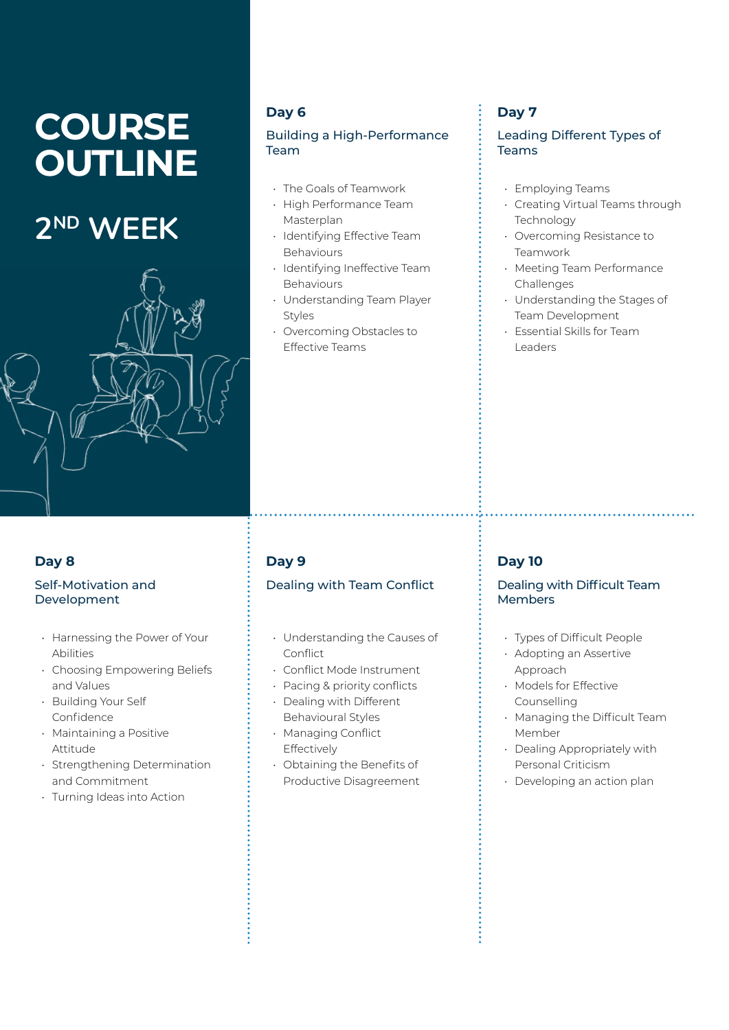# **COURSE OUTLINE**

# **2ND WEEK**



## **Day 6**

#### Building a High-Performance Team

- The Goals of Teamwork
- High Performance Team Masterplan
- Identifying Effective Team **Behaviours**
- Identifying Ineffective Team Behaviours
- Understanding Team Player Styles
- Overcoming Obstacles to Effective Teams

# **Day 7**

#### Leading Different Types of Teams

- Employing Teams
- Creating Virtual Teams through Technology
- Overcoming Resistance to Teamwork
- Meeting Team Performance Challenges
- Understanding the Stages of Team Development
- Essential Skills for Team Leaders

# **Day 8**

### Self-Motivation and Development

- Harnessing the Power of Your Abilities
- Choosing Empowering Beliefs and Values
- Building Your Self Confidence
- Maintaining a Positive Attitude
- Strengthening Determination and Commitment
- Turning Ideas into Action

# **Day 9**

## Dealing with Team Conflict

- Understanding the Causes of Conflict
- Conflict Mode Instrument
- Pacing & priority conflicts • Dealing with Different
- Behavioural Styles
- Managing Conflict Effectively
- Obtaining the Benefits of Productive Disagreement

# **Day 10**

#### Dealing with Difficult Team Members

- Types of Difficult People
- Adopting an Assertive Approach
- Models for Effective Counselling
- Managing the Difficult Team Member
- Dealing Appropriately with Personal Criticism
- Developing an action plan